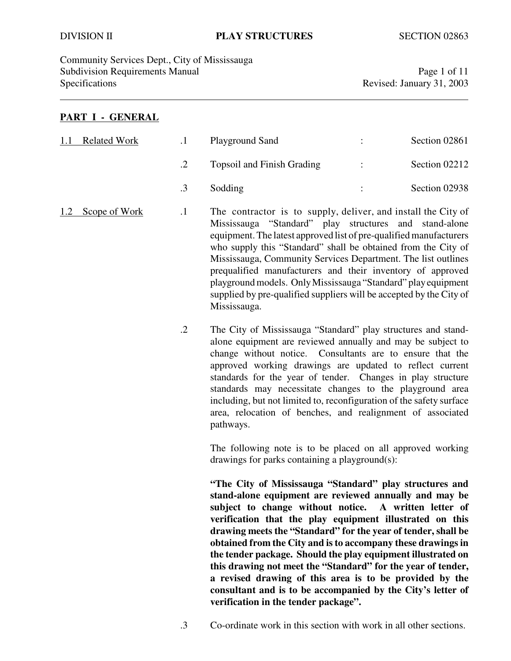### DIVISION II **PLAY STRUCTURES** SECTION 02863

Community Services Dept., City of Mississauga Subdivision Requirements Manual Page 1 of 11 Specifications Revised: January 31, 2003

### **PART I - GENERAL**

| 1.1 | <b>Related Work</b> |         | Playground Sand                                                                                                                                                                                                                                                                                                                                                                                                                                                                                                                                       | Section 02861 |
|-----|---------------------|---------|-------------------------------------------------------------------------------------------------------------------------------------------------------------------------------------------------------------------------------------------------------------------------------------------------------------------------------------------------------------------------------------------------------------------------------------------------------------------------------------------------------------------------------------------------------|---------------|
|     |                     | .2      | <b>Topsoil and Finish Grading</b>                                                                                                                                                                                                                                                                                                                                                                                                                                                                                                                     | Section 02212 |
|     |                     | .3      | Sodding                                                                                                                                                                                                                                                                                                                                                                                                                                                                                                                                               | Section 02938 |
| 1.2 | Scope of Work       | $\cdot$ | The contractor is to supply, deliver, and install the City of<br>Mississauga "Standard" play structures and stand-alone<br>equipment. The latest approved list of pre-qualified manufacturers<br>who supply this "Standard" shall be obtained from the City of<br>Mississauga, Community Services Department. The list outlines<br>prequalified manufacturers and their inventory of approved<br>playground models. Only Mississauga "Standard" play equipment<br>supplied by pre-qualified suppliers will be accepted by the City of<br>Mississauga. |               |

.2 The City of Mississauga "Standard" play structures and standalone equipment are reviewed annually and may be subject to change without notice. Consultants are to ensure that the approved working drawings are updated to reflect current standards for the year of tender. Changes in play structure standards may necessitate changes to the playground area including, but not limited to, reconfiguration of the safety surface area, relocation of benches, and realignment of associated pathways.

> The following note is to be placed on all approved working drawings for parks containing a playground(s):

> **"The City of Mississauga "Standard" play structures and stand-alone equipment are reviewed annually and may be subject to change without notice. A written letter of verification that the play equipment illustrated on this drawing meets the "Standard" for the year of tender, shall be obtained from the City and is to accompany these drawings in the tender package. Should the play equipment illustrated on this drawing not meet the "Standard" for the year of tender, a revised drawing of this area is to be provided by the consultant and is to be accompanied by the City's letter of verification in the tender package".**

.3 Co-ordinate work in this section with work in all other sections.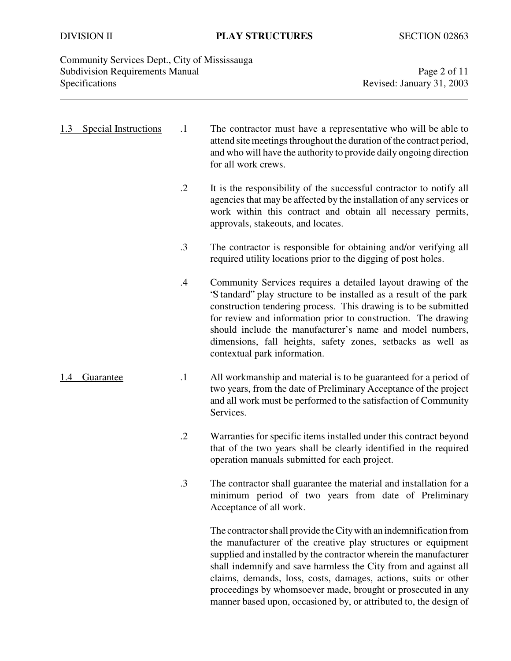| Community Services Dept., City of Mississauga |                           |
|-----------------------------------------------|---------------------------|
| <b>Subdivision Requirements Manual</b>        | Page 2 of 11              |
| <b>Specifications</b>                         | Revised: January 31, 2003 |

| 1.3 | <b>Special Instructions</b> | $\cdot$ 1  | The contractor must have a representative who will be able to<br>attend site meetings throughout the duration of the contract period,<br>and who will have the authority to provide daily ongoing direction<br>for all work crews.                                                                                                                                                                                                                                                 |
|-----|-----------------------------|------------|------------------------------------------------------------------------------------------------------------------------------------------------------------------------------------------------------------------------------------------------------------------------------------------------------------------------------------------------------------------------------------------------------------------------------------------------------------------------------------|
|     |                             | $\cdot$ .2 | It is the responsibility of the successful contractor to notify all<br>agencies that may be affected by the installation of any services or<br>work within this contract and obtain all necessary permits,<br>approvals, stakeouts, and locates.                                                                                                                                                                                                                                   |
|     |                             | .3         | The contractor is responsible for obtaining and/or verifying all<br>required utility locations prior to the digging of post holes.                                                                                                                                                                                                                                                                                                                                                 |
|     |                             | .4         | Community Services requires a detailed layout drawing of the<br>'S tandard' play structure to be installed as a result of the park<br>construction tendering process. This drawing is to be submitted<br>for review and information prior to construction. The drawing<br>should include the manufacturer's name and model numbers,<br>dimensions, fall heights, safety zones, setbacks as well as<br>contextual park information.                                                 |
|     | Guarantee                   | $\cdot$ 1  | All workmanship and material is to be guaranteed for a period of<br>two years, from the date of Preliminary Acceptance of the project<br>and all work must be performed to the satisfaction of Community<br>Services.                                                                                                                                                                                                                                                              |
|     |                             | $\cdot$ .2 | Warranties for specific items installed under this contract beyond<br>that of the two years shall be clearly identified in the required<br>operation manuals submitted for each project.                                                                                                                                                                                                                                                                                           |
|     |                             | .3         | The contractor shall guarantee the material and installation for a<br>minimum period of two years from date of Preliminary<br>Acceptance of all work.                                                                                                                                                                                                                                                                                                                              |
|     |                             |            | The contractor shall provide the City with an indemnification from<br>the manufacturer of the creative play structures or equipment<br>supplied and installed by the contractor wherein the manufacturer<br>shall indemnify and save harmless the City from and against all<br>claims, demands, loss, costs, damages, actions, suits or other<br>proceedings by whomsoever made, brought or prosecuted in any<br>manner based upon, occasioned by, or attributed to, the design of |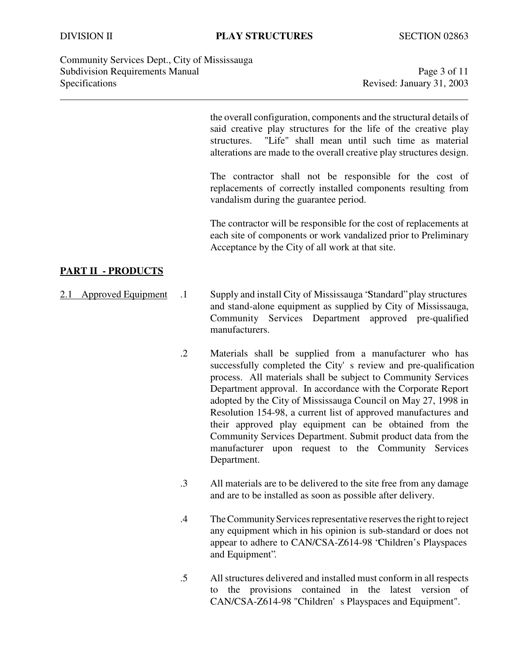Community Services Dept., City of Mississauga Subdivision Requirements Manual Page 3 of 11 Specifications Revised: January 31, 2003

the overall configuration, components and the structural details of said creative play structures for the life of the creative play structures. "Life" shall mean until such time as material alterations are made to the overall creative play structures design.

The contractor shall not be responsible for the cost of replacements of correctly installed components resulting from vandalism during the guarantee period.

The contractor will be responsible for the cost of replacements at each site of components or work vandalized prior to Preliminary Acceptance by the City of all work at that site.

## **PART II - PRODUCTS**

- 2.1 Approved Equipment .1 Supply and install City of Mississauga "Standard" play structures and stand-alone equipment as supplied by City of Mississauga, Community Services Department approved pre-qualified manufacturers.
	- .2 Materials shall be supplied from a manufacturer who has successfully completed the City's review and pre-qualification process. All materials shall be subject to Community Services Department approval. In accordance with the Corporate Report adopted by the City of Mississauga Council on May 27, 1998 in Resolution 154-98, a current list of approved manufactures and their approved play equipment can be obtained from the Community Services Department. Submit product data from the manufacturer upon request to the Community Services Department.
	- .3 All materials are to be delivered to the site free from any damage and are to be installed as soon as possible after delivery.
	- .4 TheCommunity Services representative reserves the right to reject any equipment which in his opinion is sub-standard or does not appear to adhere to CAN/CSA-Z614-98 "Children's Playspaces and Equipment".
	- .5 All structures delivered and installed must conform in all respects to the provisions contained in the latest version of CAN/CSA-Z614-98 "Children's Playspaces and Equipment".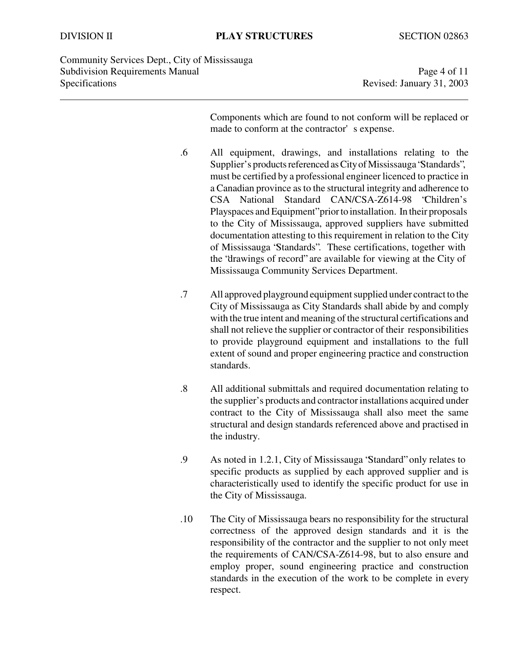Community Services Dept., City of Mississauga Subdivision Requirements Manual Page 4 of 11 Specifications Revised: January 31, 2003

Components which are found to not conform will be replaced or made to conform at the contractor's expense.

- .6 All equipment, drawings, and installations relating to the Supplier's products referenced as City of Mississauga "Standards", must be certified by a professional engineer licenced to practice in a Canadian province as to the structural integrity and adherence to CSA National Standard CAN/CSA-Z614-98 "Children's Playspaces and Equipment" prior to installation. In their proposals to the City of Mississauga, approved suppliers have submitted documentation attesting to this requirement in relation to the City of Mississauga "Standards". These certifications, together with the "drawings of record" are available for viewing at the City of Mississauga Community Services Department.
- .7 All approved playground equipment supplied under contract to the City of Mississauga as City Standards shall abide by and comply with the true intent and meaning of the structural certifications and shall not relieve the supplier or contractor of their responsibilities to provide playground equipment and installations to the full extent of sound and proper engineering practice and construction standards.
- .8 All additional submittals and required documentation relating to the supplier's products and contractor installations acquired under contract to the City of Mississauga shall also meet the same structural and design standards referenced above and practised in the industry.
- .9 As noted in 1.2.1, City of Mississauga "Standard" only relates to specific products as supplied by each approved supplier and is characteristically used to identify the specific product for use in the City of Mississauga.
- .10 The City of Mississauga bears no responsibility for the structural correctness of the approved design standards and it is the responsibility of the contractor and the supplier to not only meet the requirements of CAN/CSA-Z614-98, but to also ensure and employ proper, sound engineering practice and construction standards in the execution of the work to be complete in every respect.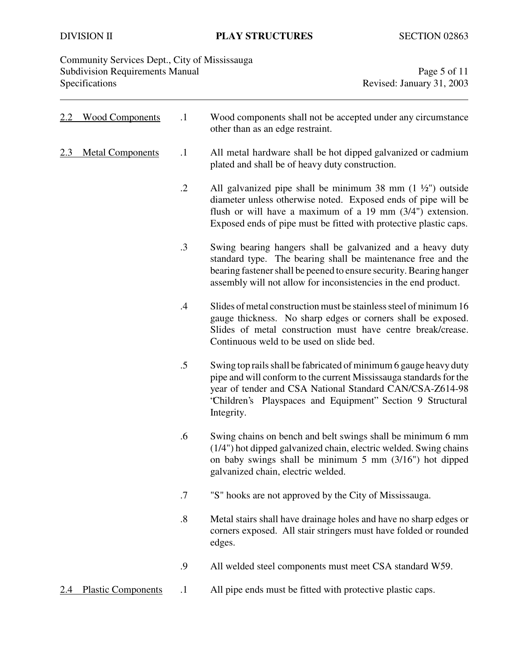# DIVISION II **PLAY STRUCTURES** SECTION 02863

| Community Services Dept., City of Mississauga<br><b>Subdivision Requirements Manual</b><br>Specifications |                           |                   | Page 5 of 11<br>Revised: January 31, 2003                                                                                                                                                                                                                                        |
|-----------------------------------------------------------------------------------------------------------|---------------------------|-------------------|----------------------------------------------------------------------------------------------------------------------------------------------------------------------------------------------------------------------------------------------------------------------------------|
| 2.2                                                                                                       | <b>Wood Components</b>    | $\cdot$ 1         | Wood components shall not be accepted under any circumstance<br>other than as an edge restraint.                                                                                                                                                                                 |
| 2.3                                                                                                       | <b>Metal Components</b>   | $\cdot$           | All metal hardware shall be hot dipped galvanized or cadmium<br>plated and shall be of heavy duty construction.                                                                                                                                                                  |
|                                                                                                           |                           | $\cdot$ .2        | All galvanized pipe shall be minimum 38 mm $(1 \frac{1}{2})$ outside<br>diameter unless otherwise noted. Exposed ends of pipe will be<br>flush or will have a maximum of a 19 mm (3/4") extension.<br>Exposed ends of pipe must be fitted with protective plastic caps.          |
|                                                                                                           |                           | $\cdot$ 3         | Swing bearing hangers shall be galvanized and a heavy duty<br>standard type. The bearing shall be maintenance free and the<br>bearing fastener shall be peened to ensure security. Bearing hanger<br>assembly will not allow for inconsistencies in the end product.             |
|                                                                                                           |                           | .4                | Slides of metal construction must be stainless steel of minimum 16<br>gauge thickness. No sharp edges or corners shall be exposed.<br>Slides of metal construction must have centre break/crease.<br>Continuous weld to be used on slide bed.                                    |
|                                                                                                           |                           | $.5\,$            | Swing top rails shall be fabricated of minimum 6 gauge heavy duty<br>pipe and will conform to the current Mississauga standards for the<br>year of tender and CSA National Standard CAN/CSA-Z614-98<br>'Children's Playspaces and Equipment'' Section 9 Structural<br>Integrity. |
|                                                                                                           |                           | .6                | Swing chains on bench and belt swings shall be minimum 6 mm<br>(1/4") hot dipped galvanized chain, electric welded. Swing chains<br>on baby swings shall be minimum $5 \text{ mm } (3/16")$ hot dipped<br>galvanized chain, electric welded.                                     |
|                                                                                                           |                           | .7                | "S" hooks are not approved by the City of Mississauga.                                                                                                                                                                                                                           |
|                                                                                                           |                           | $\boldsymbol{.8}$ | Metal stairs shall have drainage holes and have no sharp edges or<br>corners exposed. All stair stringers must have folded or rounded<br>edges.                                                                                                                                  |
|                                                                                                           |                           | .9                | All welded steel components must meet CSA standard W59.                                                                                                                                                                                                                          |
|                                                                                                           | <b>Plastic Components</b> | $\cdot$           | All pipe ends must be fitted with protective plastic caps.                                                                                                                                                                                                                       |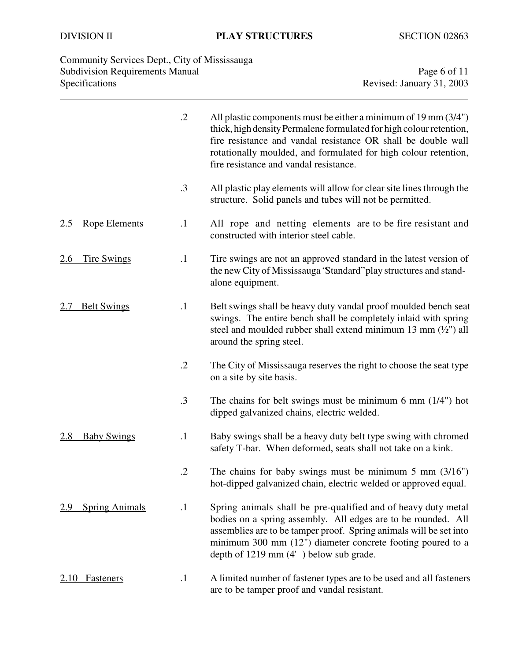# DIVISION II **PLAY STRUCTURES** SECTION 02863

| Community Services Dept., City of Mississauga |                           |
|-----------------------------------------------|---------------------------|
| <b>Subdivision Requirements Manual</b>        | Page 6 of 11              |
| <b>Specifications</b>                         | Revised: January 31, 2003 |

|                                  | $\cdot$ .2 | All plastic components must be either a minimum of 19 mm (3/4")<br>thick, high density Permalene formulated for high colour retention,<br>fire resistance and vandal resistance OR shall be double wall<br>rotationally moulded, and formulated for high colour retention,<br>fire resistance and vandal resistance.    |
|----------------------------------|------------|-------------------------------------------------------------------------------------------------------------------------------------------------------------------------------------------------------------------------------------------------------------------------------------------------------------------------|
|                                  | $\cdot$ 3  | All plastic play elements will allow for clear site lines through the<br>structure. Solid panels and tubes will not be permitted.                                                                                                                                                                                       |
| <b>Rope Elements</b><br>2.5      | $\cdot$    | All rope and netting elements are to be fire resistant and<br>constructed with interior steel cable.                                                                                                                                                                                                                    |
| <u>Tire Swings</u><br><u>2.6</u> | $\cdot$    | Tire swings are not an approved standard in the latest version of<br>the new City of Mississauga 'Standard' play structures and stand-<br>alone equipment.                                                                                                                                                              |
| <b>Belt Swings</b>               | $\cdot$ 1  | Belt swings shall be heavy duty vandal proof moulded bench seat<br>swings. The entire bench shall be completely inlaid with spring<br>steel and moulded rubber shall extend minimum 13 mm $(\frac{1}{2})$ all<br>around the spring steel.                                                                               |
|                                  | $\cdot$ .2 | The City of Mississauga reserves the right to choose the seat type<br>on a site by site basis.                                                                                                                                                                                                                          |
|                                  | $\cdot$ 3  | The chains for belt swings must be minimum 6 mm $(1/4)$ hot<br>dipped galvanized chains, electric welded.                                                                                                                                                                                                               |
| <b>Baby Swings</b><br>2.8        | $\cdot$    | Baby swings shall be a heavy duty belt type swing with chromed<br>safety T-bar. When deformed, seats shall not take on a kink.                                                                                                                                                                                          |
|                                  | $\cdot$ .2 | The chains for baby swings must be minimum $5 \text{ mm } (3/16")$<br>hot-dipped galvanized chain, electric welded or approved equal.                                                                                                                                                                                   |
| <b>Spring Animals</b><br>2.9     | $\cdot$    | Spring animals shall be pre-qualified and of heavy duty metal<br>bodies on a spring assembly. All edges are to be rounded. All<br>assemblies are to be tamper proof. Spring animals will be set into<br>minimum 300 mm $(12)$ diameter concrete footing poured to a<br>depth of $1219 \text{ mm}$ (4') below sub grade. |
| <b>Fasteners</b><br>2.10         | $\cdot$    | A limited number of fastener types are to be used and all fasteners<br>are to be tamper proof and vandal resistant.                                                                                                                                                                                                     |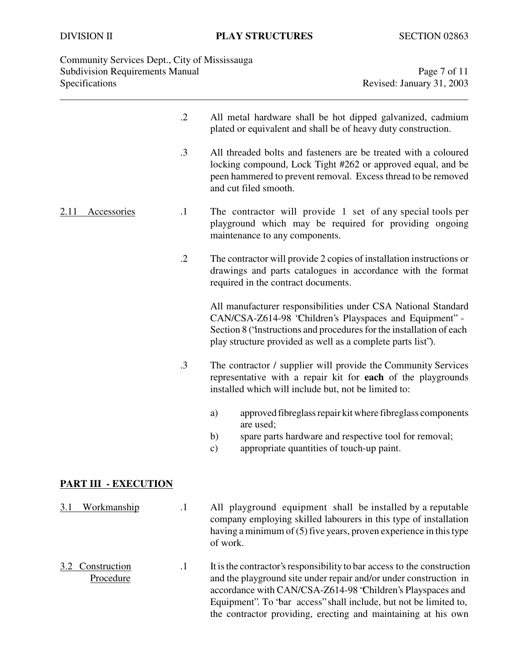| Community Services Dept., City of Mississauga<br><b>Subdivision Requirements Manual</b><br>Specifications |           | Page 7 of 11<br>Revised: January 31, 2003                                                                                                                                                                                                                                       |  |
|-----------------------------------------------------------------------------------------------------------|-----------|---------------------------------------------------------------------------------------------------------------------------------------------------------------------------------------------------------------------------------------------------------------------------------|--|
|                                                                                                           | $\cdot$   | All metal hardware shall be hot dipped galvanized, cadmium<br>plated or equivalent and shall be of heavy duty construction.                                                                                                                                                     |  |
|                                                                                                           | .3        | All threaded bolts and fasteners are be treated with a coloured<br>locking compound, Lock Tight #262 or approved equal, and be<br>peen hammered to prevent removal. Excess thread to be removed<br>and cut filed smooth.                                                        |  |
| 2.11<br><b>Accessories</b>                                                                                | $\cdot$ 1 | The contractor will provide 1 set of any special tools per<br>playground which may be required for providing ongoing<br>maintenance to any components.                                                                                                                          |  |
|                                                                                                           | $\cdot$   | The contractor will provide 2 copies of installation instructions or<br>drawings and parts catalogues in accordance with the format<br>required in the contract documents.                                                                                                      |  |
|                                                                                                           |           | All manufacturer responsibilities under CSA National Standard<br>CAN/CSA-Z614-98 'Children's Playspaces and Equipment" -<br>Section 8 ('instructions and procedures for the installation of each<br>play structure provided as well as a complete parts list").                 |  |
|                                                                                                           | $\cdot$ 3 | The contractor / supplier will provide the Community Services<br>representative with a repair kit for each of the playgrounds<br>installed which will include but, not be limited to:                                                                                           |  |
|                                                                                                           |           | approved fibreglass repair kit where fibreglass components<br>a)<br>are used;<br>b)<br>spare parts hardware and respective tool for removal;<br>appropriate quantities of touch-up paint.<br>$\mathbf{c})$                                                                      |  |
| <b>PART III - EXECUTION</b>                                                                               |           |                                                                                                                                                                                                                                                                                 |  |
| <b>Workmanship</b><br>3.1                                                                                 | $\cdot$ 1 | All playground equipment shall be installed by a reputable<br>company employing skilled labourers in this type of installation<br>having a minimum of (5) five years, proven experience in this type<br>of work.                                                                |  |
| Construction<br>3.2<br>Procedure                                                                          | $\cdot$ 1 | It is the contractor's responsibility to bar access to the construction<br>and the playground site under repair and/or under construction in<br>accordance with CAN/CSA-Z614-98 'Children's Playspaces and<br>Equipment". To 'bar access' shall include, but not be limited to, |  |

the contractor providing, erecting and maintaining at his own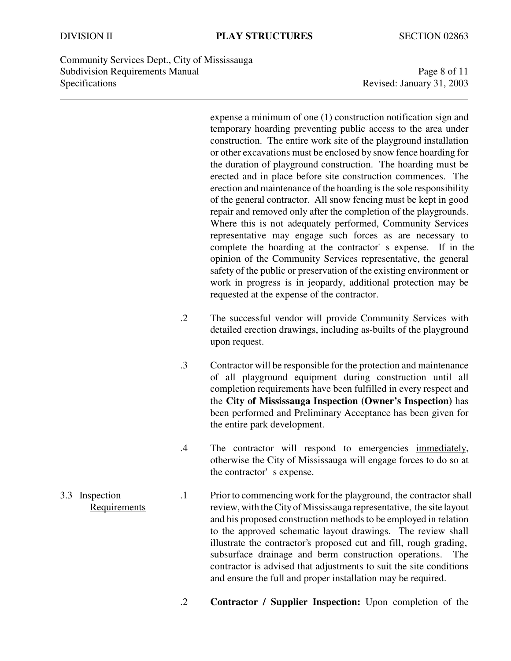Community Services Dept., City of Mississauga Subdivision Requirements Manual Page 8 of 11 Specifications Revised: January 31, 2003

expense a minimum of one (1) construction notification sign and temporary hoarding preventing public access to the area under construction. The entire work site of the playground installation or other excavations must be enclosed by snow fence hoarding for the duration of playground construction. The hoarding must be erected and in place before site construction commences. The erection and maintenance of the hoarding is the sole responsibility of the general contractor. All snow fencing must be kept in good repair and removed only after the completion of the playgrounds. Where this is not adequately performed, Community Services representative may engage such forces as are necessary to complete the hoarding at the contractor's expense. If in the opinion of the Community Services representative, the general safety of the public or preservation of the existing environment or work in progress is in jeopardy, additional protection may be requested at the expense of the contractor.

- .2 The successful vendor will provide Community Services with detailed erection drawings, including as-builts of the playground upon request.
- .3 Contractor will be responsible for the protection and maintenance of all playground equipment during construction until all completion requirements have been fulfilled in every respect and the **City of Mississauga Inspection (Owner's Inspection)** has been performed and Preliminary Acceptance has been given for the entire park development.
- .4 The contractor will respond to emergencies immediately, otherwise the City of Mississauga will engage forces to do so at the contractor's expense.
- 3.3 Inspection .1 Prior to commencing work for the playground, the contractor shall Requirements review, with the City of Mississauga representative, the site layout and his proposed construction methods to be employed in relation to the approved schematic layout drawings. The review shall illustrate the contractor's proposed cut and fill, rough grading, subsurface drainage and berm construction operations. The contractor is advised that adjustments to suit the site conditions and ensure the full and proper installation may be required.
	- .2 **Contractor / Supplier Inspection:** Upon completion of the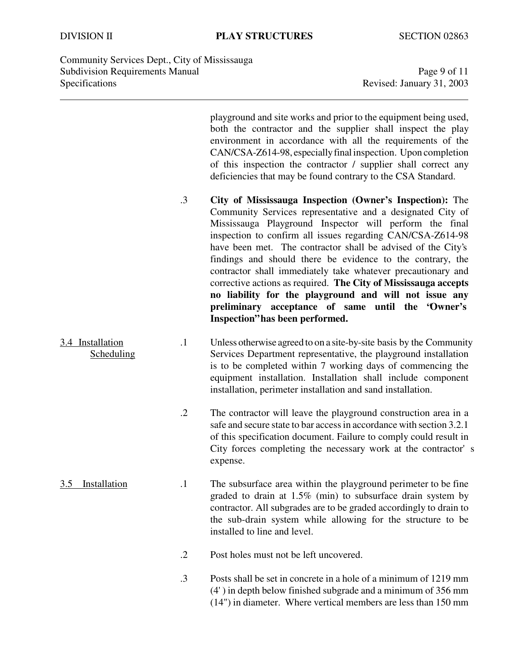Community Services Dept., City of Mississauga Subdivision Requirements Manual Page 9 of 11 Specifications Revised: January 31, 2003

playground and site works and prior to the equipment being used, both the contractor and the supplier shall inspect the play environment in accordance with all the requirements of the CAN/CSA-Z614-98, especially final inspection. Upon completion of this inspection the contractor / supplier shall correct any deficiencies that may be found contrary to the CSA Standard.

- .3 **City of Mississauga Inspection (Owner's Inspection):** The Community Services representative and a designated City of Mississauga Playground Inspector will perform the final inspection to confirm all issues regarding CAN/CSA-Z614-98 have been met. The contractor shall be advised of the City's findings and should there be evidence to the contrary, the contractor shall immediately take whatever precautionary and corrective actions as required. **The City of Mississauga accepts no liability for the playground and will not issue any preliminary acceptance of same until the "Owner's Inspection" has been performed.**
- 3.4 Installation .1 Unless otherwise agreed to on a site-by-site basis by the Community Scheduling Services Department representative, the playground installation is to be completed within 7 working days of commencing the equipment installation. Installation shall include component installation, perimeter installation and sand installation.
	- .2 The contractor will leave the playground construction area in a safe and secure state to bar access in accordance with section 3.2.1 of this specification document. Failure to comply could result in City forces completing the necessary work at the contractor's expense.
- 3.5 Installation .1 The subsurface area within the playground perimeter to be fine graded to drain at 1.5% (min) to subsurface drain system by contractor. All subgrades are to be graded accordingly to drain to the sub-drain system while allowing for the structure to be installed to line and level.
	- .2 Post holes must not be left uncovered.
	- .3 Posts shall be set in concrete in a hole of a minimum of 1219 mm (4') in depth below finished subgrade and a minimum of 356 mm (14") in diameter. Where vertical members are less than 150 mm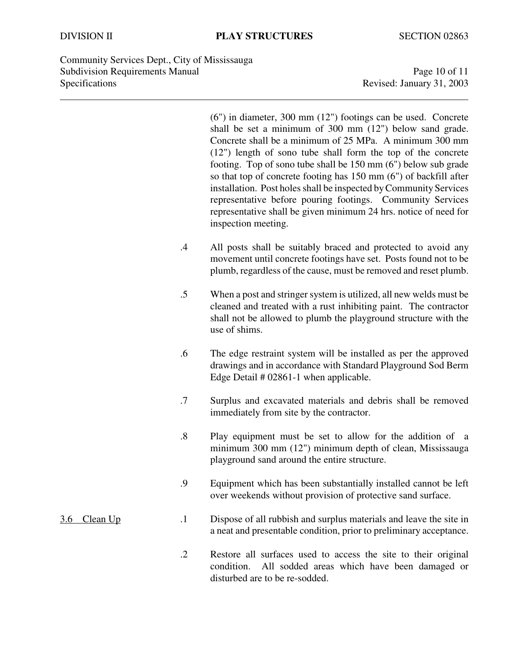Community Services Dept., City of Mississauga Subdivision Requirements Manual Page 10 of 11 Specifications Revised: January 31, 2003

(6") in diameter, 300 mm (12") footings can be used. Concrete shall be set a minimum of 300 mm (12") below sand grade. Concrete shall be a minimum of 25 MPa. A minimum 300 mm (12") length of sono tube shall form the top of the concrete footing. Top of sono tube shall be 150 mm (6") below sub grade so that top of concrete footing has 150 mm (6") of backfill after installation. Post holes shall be inspected by Community Services representative before pouring footings. Community Services representative shall be given minimum 24 hrs. notice of need for inspection meeting.

- .4 All posts shall be suitably braced and protected to avoid any movement until concrete footings have set. Posts found not to be plumb, regardless of the cause, must be removed and reset plumb.
- .5 When a post and stringer system is utilized, all new welds must be cleaned and treated with a rust inhibiting paint. The contractor shall not be allowed to plumb the playground structure with the use of shims.
- .6 The edge restraint system will be installed as per the approved drawings and in accordance with Standard Playground Sod Berm Edge Detail # 02861-1 when applicable.
- .7 Surplus and excavated materials and debris shall be removed immediately from site by the contractor.
- .8 Play equipment must be set to allow for the addition of a minimum 300 mm (12") minimum depth of clean, Mississauga playground sand around the entire structure.
- .9 Equipment which has been substantially installed cannot be left over weekends without provision of protective sand surface.

## 3.6 Clean Up .1 Dispose of all rubbish and surplus materials and leave the site in a neat and presentable condition, prior to preliminary acceptance.

.2 Restore all surfaces used to access the site to their original condition. All sodded areas which have been damaged or disturbed are to be re-sodded.